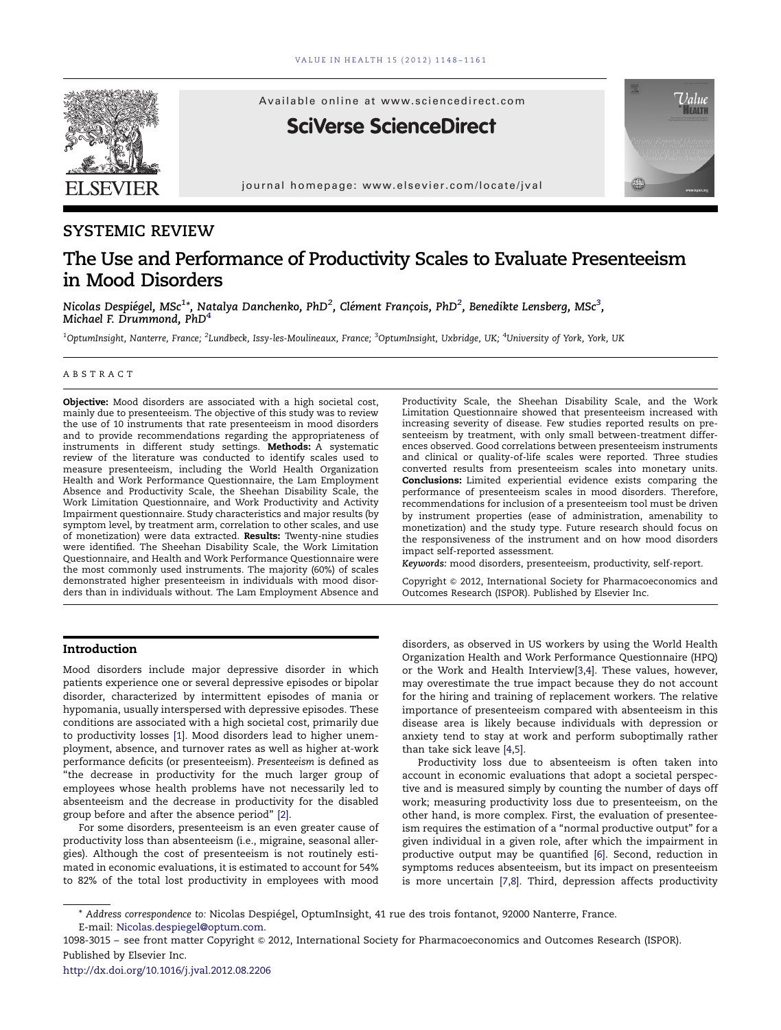

# SYSTEMIC REVIEW

# The Use and Performance of Productivity Scales to Evaluate Presenteeism in Mood Disorders

Nicolas Despiégel, MSc $^{1*}$ , Natalya Danchenko, PhD $^2$ , Clément François, PhD $^2$ , Benedikte Lensberg, MSc $^3$ , Michael F. Drummond, PhD<sup>4</sup>

<sup>1</sup>OptumInsight, Nanterre, France; <sup>2</sup>Lundbeck, Issy-les-Moulineaux, France; <sup>3</sup>OptumInsight, Uxbridge, UK; <sup>4</sup>University of York, York, UK

# ABSTRACT

Objective: Mood disorders are associated with a high societal cost, mainly due to presenteeism. The objective of this study was to review the use of 10 instruments that rate presenteeism in mood disorders and to provide recommendations regarding the appropriateness of instruments in different study settings. Methods: A systematic review of the literature was conducted to identify scales used to measure presenteeism, including the World Health Organization Health and Work Performance Questionnaire, the Lam Employment Absence and Productivity Scale, the Sheehan Disability Scale, the Work Limitation Questionnaire, and Work Productivity and Activity Impairment questionnaire. Study characteristics and major results (by symptom level, by treatment arm, correlation to other scales, and use of monetization) were data extracted. Results: Twenty-nine studies were identified. The Sheehan Disability Scale, the Work Limitation Questionnaire, and Health and Work Performance Questionnaire were the most commonly used instruments. The majority (60%) of scales demonstrated higher presenteeism in individuals with mood disorders than in individuals without. The Lam Employment Absence and

### Introduction

Mood disorders include major depressive disorder in which patients experience one or several depressive episodes or bipolar disorder, characterized by intermittent episodes of mania or hypomania, usually interspersed with depressive episodes. These conditions are associated with a high societal cost, primarily due to productivity losses [\[1\].](#page-12-0) Mood disorders lead to higher unemployment, absence, and turnover rates as well as higher at-work performance deficits (or presenteeism). Presenteeism is defined as ''the decrease in productivity for the much larger group of employees whose health problems have not necessarily led to absenteeism and the decrease in productivity for the disabled group before and after the absence period'' [\[2\].](#page-12-0)

For some disorders, presenteeism is an even greater cause of productivity loss than absenteeism (i.e., migraine, seasonal allergies). Although the cost of presenteeism is not routinely estimated in economic evaluations, it is estimated to account for 54% to 82% of the total lost productivity in employees with mood

Productivity Scale, the Sheehan Disability Scale, and the Work Limitation Questionnaire showed that presenteeism increased with increasing severity of disease. Few studies reported results on presenteeism by treatment, with only small between-treatment differences observed. Good correlations between presenteeism instruments and clinical or quality-of-life scales were reported. Three studies converted results from presenteeism scales into monetary units. Conclusions: Limited experiential evidence exists comparing the performance of presenteeism scales in mood disorders. Therefore, recommendations for inclusion of a presenteeism tool must be driven by instrument properties (ease of administration, amenability to monetization) and the study type. Future research should focus on the responsiveness of the instrument and on how mood disorders impact self-reported assessment.

Keywords: mood disorders, presenteeism, productivity, self-report.

Copyright © 2012, International Society for Pharmacoeconomics and Outcomes Research (ISPOR). Published by Elsevier Inc.

disorders, as observed in US workers by using the World Health Organization Health and Work Performance Questionnaire (HPQ) or the Work and Health Intervie[w\[3,4\]](#page-12-0). These values, however, may overestimate the true impact because they do not account for the hiring and training of replacement workers. The relative importance of presenteeism compared with absenteeism in this disease area is likely because individuals with depression or anxiety tend to stay at work and perform suboptimally rather than take sick leave [\[4](#page-12-0)[,5\]](#page-13-0).

Productivity loss due to absenteeism is often taken into account in economic evaluations that adopt a societal perspective and is measured simply by counting the number of days off work; measuring productivity loss due to presenteeism, on the other hand, is more complex. First, the evaluation of presenteeism requires the estimation of a "normal productive output" for a given individual in a given role, after which the impairment in productive output may be quantified [\[6\].](#page-13-0) Second, reduction in symptoms reduces absenteeism, but its impact on presenteeism is more uncertain [\[7](#page-13-0),[8\]](#page-13-0). Third, depression affects productivity

E-mail: [Nicolas.despiegel@optum.com.](mailto:Nicolas.despiegel@optum.com) \* Address correspondence to: Nicolas Despiégel, OptumInsight, 41 rue des trois fontanot, 92000 Nanterre, France.

<sup>1098-3015 –</sup> see front matter Copyright @ 2012, International Society for Pharmacoeconomics and Outcomes Research (ISPOR). Published by Elsevier Inc.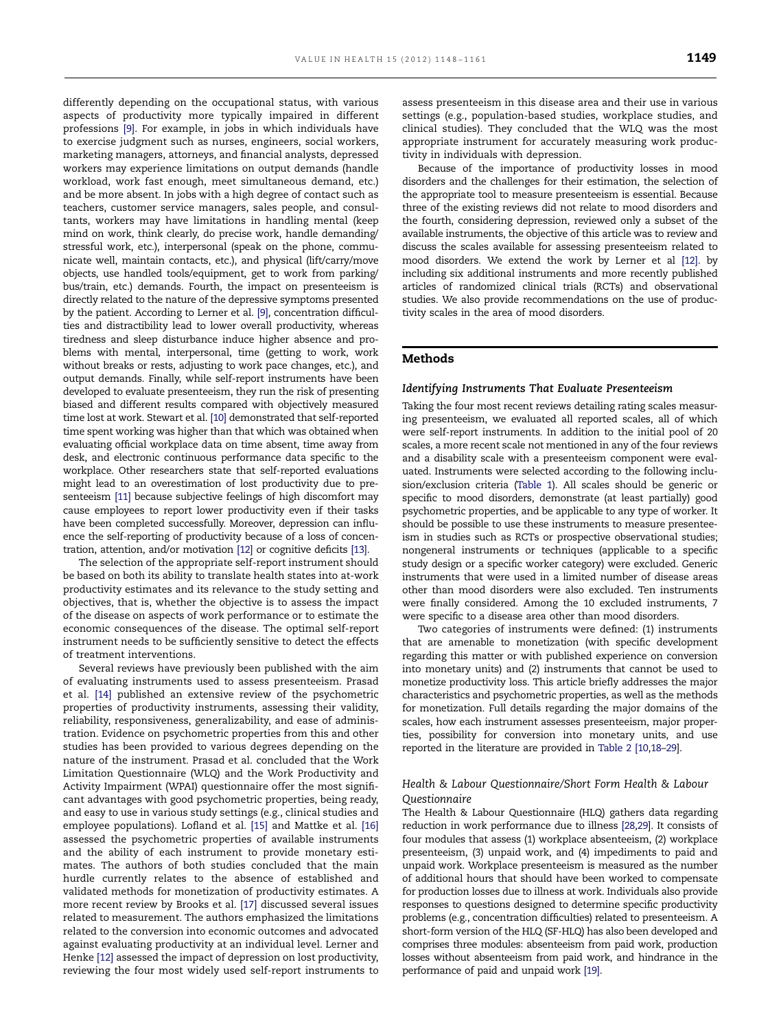differently depending on the occupational status, with various aspects of productivity more typically impaired in different professions [\[9\].](#page-13-0) For example, in jobs in which individuals have to exercise judgment such as nurses, engineers, social workers, marketing managers, attorneys, and financial analysts, depressed workers may experience limitations on output demands (handle workload, work fast enough, meet simultaneous demand, etc.) and be more absent. In jobs with a high degree of contact such as teachers, customer service managers, sales people, and consultants, workers may have limitations in handling mental (keep mind on work, think clearly, do precise work, handle demanding/ stressful work, etc.), interpersonal (speak on the phone, communicate well, maintain contacts, etc.), and physical (lift/carry/move objects, use handled tools/equipment, get to work from parking/ bus/train, etc.) demands. Fourth, the impact on presenteeism is directly related to the nature of the depressive symptoms presented by the patient. According to Lerner et al. [\[9\],](#page-13-0) concentration difficulties and distractibility lead to lower overall productivity, whereas tiredness and sleep disturbance induce higher absence and problems with mental, interpersonal, time (getting to work, work without breaks or rests, adjusting to work pace changes, etc.), and output demands. Finally, while self-report instruments have been developed to evaluate presenteeism, they run the risk of presenting biased and different results compared with objectively measured time lost at work. Stewart et al. [\[10\]](#page-13-0) demonstrated that self-reported time spent working was higher than that which was obtained when evaluating official workplace data on time absent, time away from desk, and electronic continuous performance data specific to the workplace. Other researchers state that self-reported evaluations might lead to an overestimation of lost productivity due to presenteeism [\[11\]](#page-13-0) because subjective feelings of high discomfort may cause employees to report lower productivity even if their tasks have been completed successfully. Moreover, depression can influence the self-reporting of productivity because of a loss of concentration, attention, and/or motivation [\[12\]](#page-13-0) or cognitive deficits [\[13\]](#page-13-0).

The selection of the appropriate self-report instrument should be based on both its ability to translate health states into at-work productivity estimates and its relevance to the study setting and objectives, that is, whether the objective is to assess the impact of the disease on aspects of work performance or to estimate the economic consequences of the disease. The optimal self-report instrument needs to be sufficiently sensitive to detect the effects of treatment interventions.

Several reviews have previously been published with the aim of evaluating instruments used to assess presenteeism. Prasad et al. [\[14\]](#page-13-0) published an extensive review of the psychometric properties of productivity instruments, assessing their validity, reliability, responsiveness, generalizability, and ease of administration. Evidence on psychometric properties from this and other studies has been provided to various degrees depending on the nature of the instrument. Prasad et al. concluded that the Work Limitation Questionnaire (WLQ) and the Work Productivity and Activity Impairment (WPAI) questionnaire offer the most significant advantages with good psychometric properties, being ready, and easy to use in various study settings (e.g., clinical studies and employee populations). Lofland et al. [\[15\]](#page-13-0) and Mattke et al. [\[16\]](#page-13-0) assessed the psychometric properties of available instruments and the ability of each instrument to provide monetary estimates. The authors of both studies concluded that the main hurdle currently relates to the absence of established and validated methods for monetization of productivity estimates. A more recent review by Brooks et al. [\[17\]](#page-13-0) discussed several issues related to measurement. The authors emphasized the limitations related to the conversion into economic outcomes and advocated against evaluating productivity at an individual level. Lerner and Henke [\[12\]](#page-13-0) assessed the impact of depression on lost productivity, reviewing the four most widely used self-report instruments to

assess presenteeism in this disease area and their use in various settings (e.g., population-based studies, workplace studies, and clinical studies). They concluded that the WLQ was the most appropriate instrument for accurately measuring work productivity in individuals with depression.

Because of the importance of productivity losses in mood disorders and the challenges for their estimation, the selection of the appropriate tool to measure presenteeism is essential. Because three of the existing reviews did not relate to mood disorders and the fourth, considering depression, reviewed only a subset of the available instruments, the objective of this article was to review and discuss the scales available for assessing presenteeism related to mood disorders. We extend the work by Lerner et al [\[12\].](#page-13-0) by including six additional instruments and more recently published articles of randomized clinical trials (RCTs) and observational studies. We also provide recommendations on the use of productivity scales in the area of mood disorders.

### Methods

#### Identifying Instruments That Evaluate Presenteeism

Taking the four most recent reviews detailing rating scales measuring presenteeism, we evaluated all reported scales, all of which were self-report instruments. In addition to the initial pool of 20 scales, a more recent scale not mentioned in any of the four reviews and a disability scale with a presenteeism component were evaluated. Instruments were selected according to the following inclusion/exclusion criteria [\(Table 1\)](#page-2-0). All scales should be generic or specific to mood disorders, demonstrate (at least partially) good psychometric properties, and be applicable to any type of worker. It should be possible to use these instruments to measure presenteeism in studies such as RCTs or prospective observational studies; nongeneral instruments or techniques (applicable to a specific study design or a specific worker category) were excluded. Generic instruments that were used in a limited number of disease areas other than mood disorders were also excluded. Ten instruments were finally considered. Among the 10 excluded instruments, 7 were specific to a disease area other than mood disorders.

Two categories of instruments were defined: (1) instruments that are amenable to monetization (with specific development regarding this matter or with published experience on conversion into monetary units) and (2) instruments that cannot be used to monetize productivity loss. This article briefly addresses the major characteristics and psychometric properties, as well as the methods for monetization. Full details regarding the major domains of the scales, how each instrument assesses presenteeism, major properties, possibility for conversion into monetary units, and use reported in the literature are provided in [Table 2](#page-3-0) [\[10,18](#page-13-0)–[29\]](#page-13-0).

# Health & Labour Questionnaire/Short Form Health & Labour Questionnaire

The Health & Labour Questionnaire (HLQ) gathers data regarding reduction in work performance due to illness [\[28,29\]](#page-13-0). It consists of four modules that assess (1) workplace absenteeism, (2) workplace presenteeism, (3) unpaid work, and (4) impediments to paid and unpaid work. Workplace presenteeism is measured as the number of additional hours that should have been worked to compensate for production losses due to illness at work. Individuals also provide responses to questions designed to determine specific productivity problems (e.g., concentration difficulties) related to presenteeism. A short-form version of the HLQ (SF-HLQ) has also been developed and comprises three modules: absenteeism from paid work, production losses without absenteeism from paid work, and hindrance in the performance of paid and unpaid work [\[19\]](#page-13-0).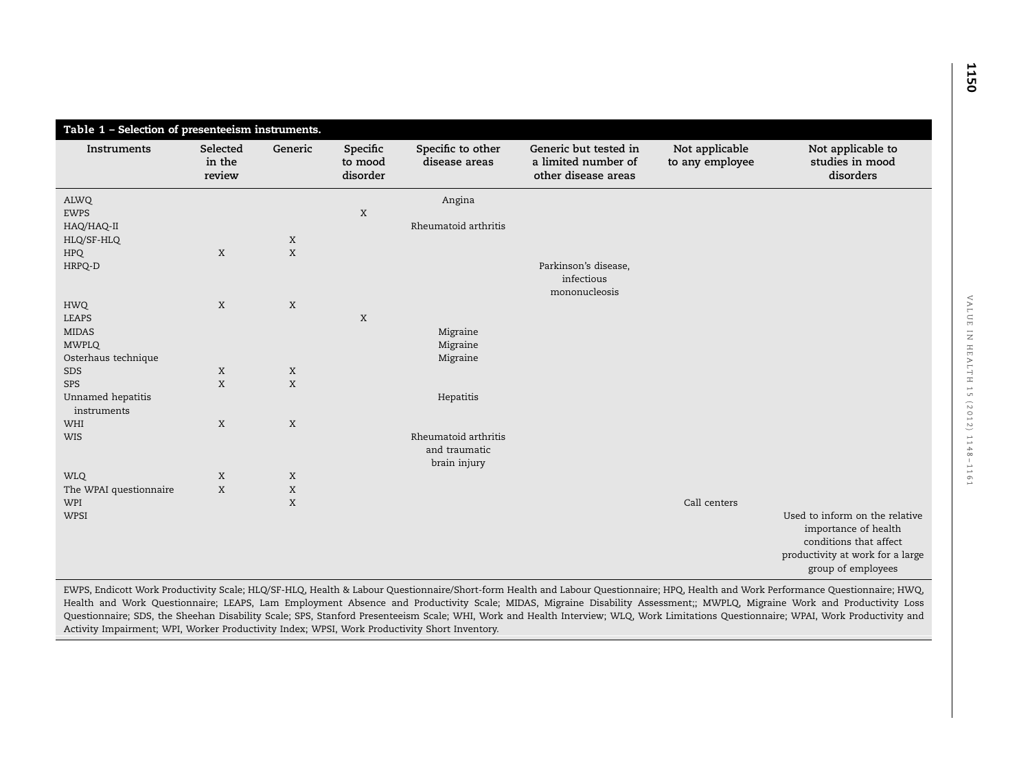<span id="page-2-0"></span>

| Table 1 - Selection of presenteeism instruments. |                              |             |                                 |                                    |                                                                     |                                   |                                                                                                                                            |
|--------------------------------------------------|------------------------------|-------------|---------------------------------|------------------------------------|---------------------------------------------------------------------|-----------------------------------|--------------------------------------------------------------------------------------------------------------------------------------------|
| Instruments                                      | Selected<br>in the<br>review | Generic     | Specific<br>to mood<br>disorder | Specific to other<br>disease areas | Generic but tested in<br>a limited number of<br>other disease areas | Not applicable<br>to any employee | Not applicable to<br>studies in mood<br>disorders                                                                                          |
| ALWQ                                             |                              |             |                                 | Angina                             |                                                                     |                                   |                                                                                                                                            |
| <b>EWPS</b>                                      |                              |             | $\mathbf X$                     |                                    |                                                                     |                                   |                                                                                                                                            |
| HAQ/HAQ-II                                       |                              |             |                                 | Rheumatoid arthritis               |                                                                     |                                   |                                                                                                                                            |
| HLQ/SF-HLQ                                       |                              | $\mathbf X$ |                                 |                                    |                                                                     |                                   |                                                                                                                                            |
| <b>HPQ</b>                                       | $\mathbf X$                  | $\mathbf X$ |                                 |                                    |                                                                     |                                   |                                                                                                                                            |
| HRPQ-D                                           |                              |             |                                 |                                    | Parkinson's disease,                                                |                                   |                                                                                                                                            |
|                                                  |                              |             |                                 |                                    | infectious                                                          |                                   |                                                                                                                                            |
|                                                  |                              |             |                                 |                                    | mononucleosis                                                       |                                   |                                                                                                                                            |
| <b>HWQ</b>                                       | $\mathbf X$                  | $\mathbf X$ |                                 |                                    |                                                                     |                                   |                                                                                                                                            |
| <b>LEAPS</b>                                     |                              |             | $\mathbf X$                     |                                    |                                                                     |                                   |                                                                                                                                            |
| <b>MIDAS</b>                                     |                              |             |                                 | Migraine                           |                                                                     |                                   |                                                                                                                                            |
| <b>MWPLQ</b>                                     |                              |             |                                 | Migraine                           |                                                                     |                                   |                                                                                                                                            |
| Osterhaus technique                              |                              |             |                                 | Migraine                           |                                                                     |                                   |                                                                                                                                            |
| SDS                                              | $\mathbf X$                  | $\mathbf X$ |                                 |                                    |                                                                     |                                   |                                                                                                                                            |
| <b>SPS</b>                                       | $\mathbf X$                  | $\mathbf X$ |                                 |                                    |                                                                     |                                   |                                                                                                                                            |
| Unnamed hepatitis                                |                              |             |                                 | Hepatitis                          |                                                                     |                                   |                                                                                                                                            |
| instruments                                      |                              |             |                                 |                                    |                                                                     |                                   |                                                                                                                                            |
| WHI                                              | $\mathbf X$                  | $\mathbf X$ |                                 |                                    |                                                                     |                                   |                                                                                                                                            |
| <b>WIS</b>                                       |                              |             |                                 | Rheumatoid arthritis               |                                                                     |                                   |                                                                                                                                            |
|                                                  |                              |             |                                 | and traumatic                      |                                                                     |                                   |                                                                                                                                            |
|                                                  |                              |             |                                 | brain injury                       |                                                                     |                                   |                                                                                                                                            |
| <b>WLQ</b>                                       | X                            | $\mathbf X$ |                                 |                                    |                                                                     |                                   |                                                                                                                                            |
| The WPAI questionnaire                           | $\mathbf X$                  | X           |                                 |                                    |                                                                     |                                   |                                                                                                                                            |
| WPI                                              |                              | $\mathbf X$ |                                 |                                    |                                                                     | Call centers                      |                                                                                                                                            |
| WPSI                                             |                              |             |                                 |                                    |                                                                     |                                   | Used to inform on the relative<br>importance of health<br>conditions that affect<br>productivity at work for a large<br>group of employees |
|                                                  |                              |             |                                 |                                    |                                                                     |                                   |                                                                                                                                            |

EWPS, Endicott Work Productivity Scale; HLQ/SF-HLQ, Health & Labour Questionnaire/Short-form Health and Labour Questionnaire; HPQ, Health and Work Performance Questionnaire; HWQ, Health and Work Questionnaire; LEAPS, Lam Employment Absence and Productivity Scale; MIDAS, Migraine Disability Assessment;; MWPLQ, Migraine Work and Productivity Loss Questionnaire; SDS, the Sheehan Disability Scale; SPS, Stanford Presenteeism Scale; WHI, Work and Health Interview; WLQ, Work Limitations Questionnaire; WPAI, Work Productivity and Activity Impairment; WPI, Worker Productivity Index; WPSI, Work Productivity Short Inventory.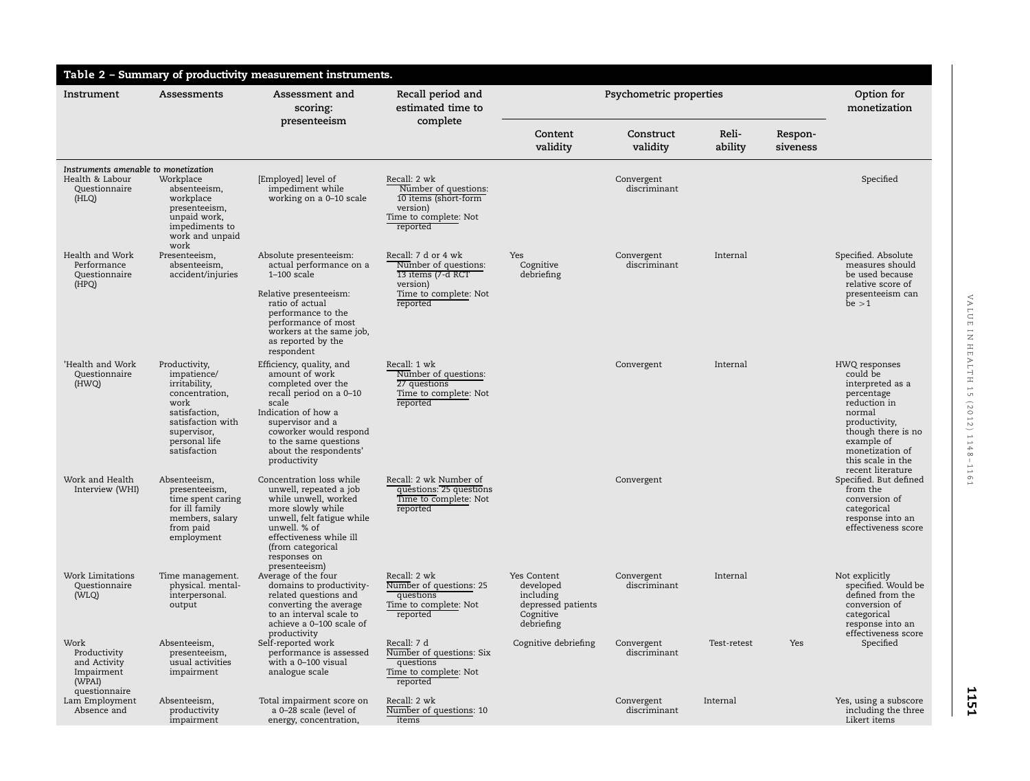<span id="page-3-0"></span>

|                                                                                   |                                                                                                                                                               | Table 2 - Summary of productivity measurement instruments.                                                                                                                                                                                   |                                                                                                                   |                                                                                        |                            |                  |                     |                                                                                                                                                                                                         |
|-----------------------------------------------------------------------------------|---------------------------------------------------------------------------------------------------------------------------------------------------------------|----------------------------------------------------------------------------------------------------------------------------------------------------------------------------------------------------------------------------------------------|-------------------------------------------------------------------------------------------------------------------|----------------------------------------------------------------------------------------|----------------------------|------------------|---------------------|---------------------------------------------------------------------------------------------------------------------------------------------------------------------------------------------------------|
| Instrument                                                                        | Assessments                                                                                                                                                   | Assessment and<br>scoring:<br>presenteeism                                                                                                                                                                                                   | Recall period and<br>estimated time to<br>complete                                                                | Psychometric properties                                                                | Option for<br>monetization |                  |                     |                                                                                                                                                                                                         |
|                                                                                   |                                                                                                                                                               |                                                                                                                                                                                                                                              |                                                                                                                   | Content<br>validity                                                                    | Construct<br>validity      | Reli-<br>ability | Respon-<br>siveness |                                                                                                                                                                                                         |
| Instruments amenable to monetization<br>Health & Labour<br>Questionnaire<br>(HLQ) | Workplace<br>absenteeism,<br>workplace<br>presenteeism,<br>unpaid work,<br>impediments to<br>work and unpaid<br>work                                          | [Employed] level of<br>impediment while<br>working on a 0–10 scale                                                                                                                                                                           | Recall: 2 wk<br>Number of questions:<br>10 items (short-form)<br>version)<br>Time to complete: Not<br>reported    |                                                                                        | Convergent<br>discriminant |                  |                     | Specified                                                                                                                                                                                               |
| Health and Work<br>Performance<br>Questionnaire<br>(HPQ)                          | Presenteeism,<br>absenteeism,<br>accident/injuries                                                                                                            | Absolute presenteeism:<br>actual performance on a<br>$1-100$ scale<br>Relative presenteeism:<br>ratio of actual<br>performance to the<br>performance of most<br>workers at the same job,<br>as reported by the<br>respondent                 | Recall: 7 d or 4 wk<br>Number of questions:<br>13 items (7-d RCT<br>version)<br>Time to complete: Not<br>reported | Yes<br>Cognitive<br>debriefing                                                         | Convergent<br>discriminant | Internal         |                     | Specified. Absolute<br>measures should<br>be used because<br>relative score of<br>presenteeism can<br>be > 1                                                                                            |
| 'Health and Work<br>Questionnaire<br>(HWQ)                                        | Productivity,<br>impatience/<br>irritability,<br>concentration,<br>work<br>satisfaction,<br>satisfaction with<br>supervisor,<br>personal life<br>satisfaction | Efficiency, quality, and<br>amount of work<br>completed over the<br>recall period on a 0-10<br>scale<br>Indication of how a<br>supervisor and a<br>coworker would respond<br>to the same questions<br>about the respondents'<br>productivity | Recall: 1 wk<br>Number of questions:<br>27 questions<br>Time to complete: Not<br>reported                         |                                                                                        | Convergent                 | Internal         |                     | HWQ responses<br>could be<br>interpreted as a<br>percentage<br>reduction in<br>normal<br>productivity,<br>though there is no<br>example of<br>monetization of<br>this scale in the<br>recent literature |
| Work and Health<br>Interview (WHI)                                                | Absenteeism,<br>presenteeism,<br>time spent caring<br>for ill family<br>members, salary<br>from paid<br>employment                                            | Concentration loss while<br>unwell, repeated a job<br>while unwell, worked<br>more slowly while<br>unwell, felt fatigue while<br>unwell. % of<br>effectiveness while ill<br>(from categorical<br>responses on<br>presenteeism)               | Recall: 2 wk Number of<br>questions: 25 questions<br>Time to complete: Not<br>reported                            |                                                                                        | Convergent                 |                  |                     | Specified. But defined<br>from the<br>conversion of<br>categorical<br>response into an<br>effectiveness score                                                                                           |
| Work Limitations<br>Questionnaire<br>(WLQ)                                        | Time management.<br>physical. mental-<br>interpersonal.<br>output                                                                                             | Average of the four<br>domains to productivity-<br>related questions and<br>converting the average<br>to an interval scale to<br>achieve a 0-100 scale of<br>productivity                                                                    | Recall: 2 wk<br>Number of questions: 25<br>questions<br>Time to complete: Not<br>reported                         | Yes Content<br>developed<br>including<br>depressed patients<br>Cognitive<br>debriefing | Convergent<br>discriminant | Internal         |                     | Not explicitly<br>specified. Would be<br>defined from the<br>conversion of<br>categorical<br>response into an<br>effectiveness score                                                                    |
| Work<br>Productivity<br>and Activity<br>Impairment<br>(WPAI)<br>questionnaire     | Absenteeism,<br>presenteeism,<br>usual activities<br>impairment                                                                                               | Self-reported work<br>performance is assessed<br>with a 0-100 visual<br>analogue scale                                                                                                                                                       | Recall: 7 d<br>Number of questions: Six<br>questions<br>Time to complete: Not<br>reported                         | Cognitive debriefing                                                                   | Convergent<br>discriminant | Test-retest      | Yes                 | Specified                                                                                                                                                                                               |
| Lam Employment<br>Absence and                                                     | Absenteeism,<br>productivity<br>impairment                                                                                                                    | Total impairment score on<br>a 0-28 scale (level of<br>energy, concentration,                                                                                                                                                                | Recall: 2 wk<br>Number of questions: 10<br>items                                                                  |                                                                                        | Convergent<br>discriminant | Internal         |                     | Yes, using a subscore<br>including the three<br>Likert items                                                                                                                                            |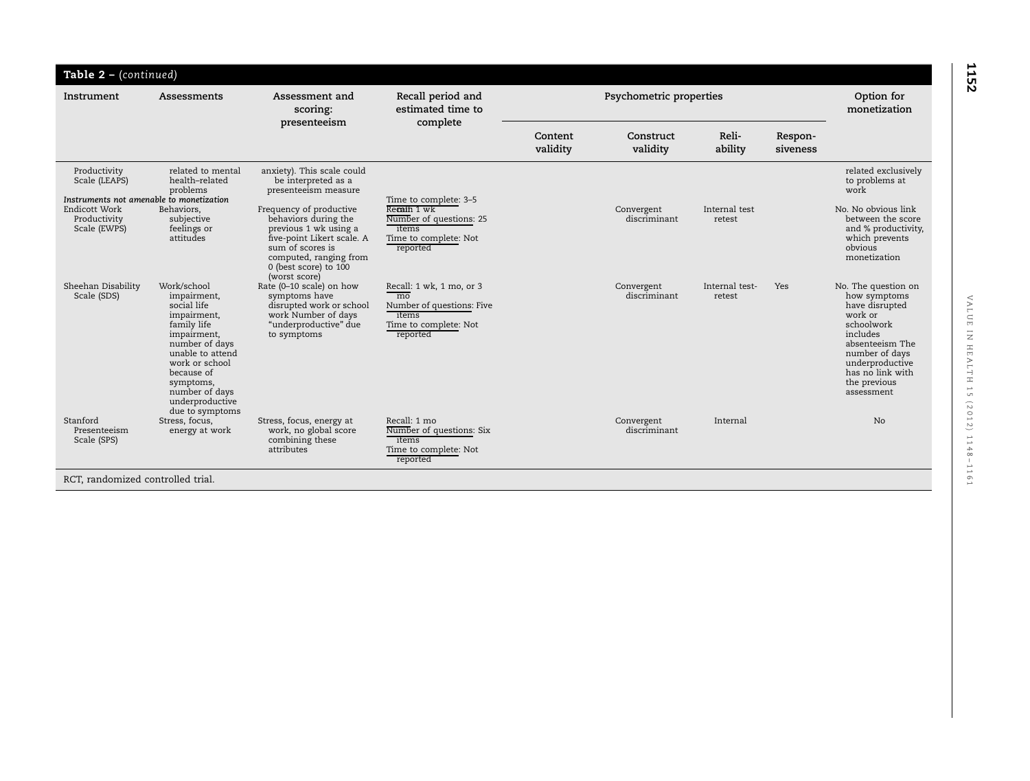| Table 2 - (continued)<br>Instrument                                       | Assessments                                                                                                                                                                                                                       | Assessment and<br>scoring:<br>presenteeism                                                                                                                                                     | Recall period and<br>estimated time to                                                                    |                     | Option for<br>monetization |                          |                     |                                                                                                                                                                                                      |
|---------------------------------------------------------------------------|-----------------------------------------------------------------------------------------------------------------------------------------------------------------------------------------------------------------------------------|------------------------------------------------------------------------------------------------------------------------------------------------------------------------------------------------|-----------------------------------------------------------------------------------------------------------|---------------------|----------------------------|--------------------------|---------------------|------------------------------------------------------------------------------------------------------------------------------------------------------------------------------------------------------|
|                                                                           |                                                                                                                                                                                                                                   |                                                                                                                                                                                                | complete                                                                                                  | Content<br>validity | Construct<br>validity      | Reli-<br>ability         | Respon-<br>siveness |                                                                                                                                                                                                      |
| Productivity<br>Scale (LEAPS)<br>Instruments not amenable to monetization | related to mental<br>health-related<br>problems                                                                                                                                                                                   | anxiety). This scale could<br>be interpreted as a<br>presenteeism measure                                                                                                                      | Time to complete: 3-5                                                                                     |                     |                            |                          |                     | related exclusively<br>to problems at<br>work                                                                                                                                                        |
| Endicott Work<br>Productivity<br>Scale (EWPS)                             | Behaviors,<br>subjective<br>feelings or<br>attitudes                                                                                                                                                                              | Frequency of productive<br>behaviors during the<br>previous 1 wk using a<br>five-point Likert scale. A<br>sum of scores is<br>computed, ranging from<br>0 (best score) to 100<br>(worst score) | Regain 1 wk<br>Number of questions: 25<br>items<br>Time to complete: Not<br>reported                      |                     | Convergent<br>discriminant | Internal test<br>retest  |                     | No. No obvious link<br>between the score<br>and % productivity,<br>which prevents<br>obvious<br>monetization                                                                                         |
| Sheehan Disability<br>Scale (SDS)                                         | Work/school<br>impairment,<br>social life<br>impairment,<br>family life<br>impairment,<br>number of days<br>unable to attend<br>work or school<br>because of<br>symptoms,<br>number of days<br>underproductive<br>due to symptoms | Rate (0-10 scale) on how<br>symptoms have<br>disrupted work or school<br>work Number of days<br>"underproductive" due<br>to symptoms                                                           | Recall: 1 wk, 1 mo, or 3<br>mo<br>Number of questions: Five<br>items<br>Time to complete: Not<br>reported |                     | Convergent<br>discriminant | Internal test-<br>retest | Yes                 | No. The question on<br>how symptoms<br>have disrupted<br>work or<br>schoolwork<br>includes<br>absenteeism The<br>number of days<br>underproductive<br>has no link with<br>the previous<br>assessment |
| Stanford<br>Presenteeism<br>Scale (SPS)                                   | Stress, focus,<br>energy at work                                                                                                                                                                                                  | Stress, focus, energy at<br>work, no global score<br>combining these<br>attributes                                                                                                             | Recall: 1 mo<br>Number of questions: Six<br>items<br>Time to complete: Not<br>reported                    |                     | Convergent<br>discriminant | Internal                 |                     | No                                                                                                                                                                                                   |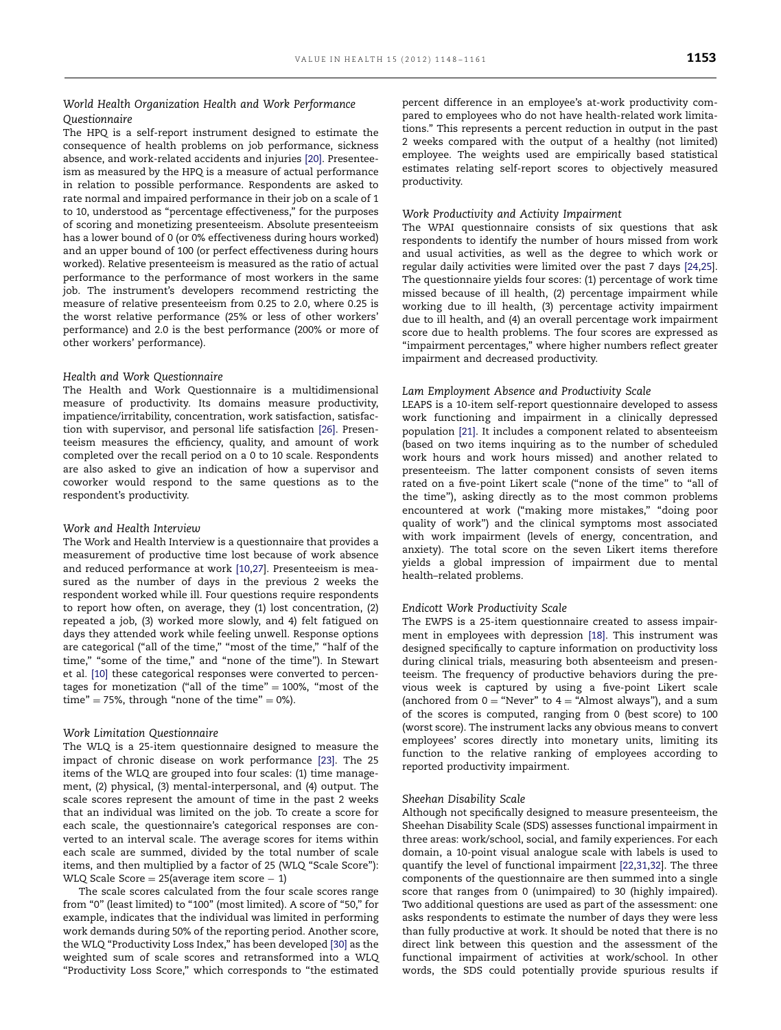# World Health Organization Health and Work Performance

#### Questionnaire

The HPQ is a self-report instrument designed to estimate the consequence of health problems on job performance, sickness absence, and work-related accidents and injuries [\[20\].](#page-13-0) Presenteeism as measured by the HPQ is a measure of actual performance in relation to possible performance. Respondents are asked to rate normal and impaired performance in their job on a scale of 1 to 10, understood as ''percentage effectiveness,'' for the purposes of scoring and monetizing presenteeism. Absolute presenteeism has a lower bound of 0 (or 0% effectiveness during hours worked) and an upper bound of 100 (or perfect effectiveness during hours worked). Relative presenteeism is measured as the ratio of actual performance to the performance of most workers in the same job. The instrument's developers recommend restricting the measure of relative presenteeism from 0.25 to 2.0, where 0.25 is the worst relative performance (25% or less of other workers' performance) and 2.0 is the best performance (200% or more of other workers' performance).

#### Health and Work Questionnaire

The Health and Work Questionnaire is a multidimensional measure of productivity. Its domains measure productivity, impatience/irritability, concentration, work satisfaction, satisfaction with supervisor, and personal life satisfaction [\[26\]](#page-13-0). Presenteeism measures the efficiency, quality, and amount of work completed over the recall period on a 0 to 10 scale. Respondents are also asked to give an indication of how a supervisor and coworker would respond to the same questions as to the respondent's productivity.

#### Work and Health Interview

The Work and Health Interview is a questionnaire that provides a measurement of productive time lost because of work absence and reduced performance at work [\[10,27](#page-13-0)]. Presenteeism is measured as the number of days in the previous 2 weeks the respondent worked while ill. Four questions require respondents to report how often, on average, they (1) lost concentration, (2) repeated a job, (3) worked more slowly, and 4) felt fatigued on days they attended work while feeling unwell. Response options are categorical (''all of the time,'' ''most of the time,'' ''half of the time," "some of the time," and "none of the time"). In Stewart et al. [\[10\]](#page-13-0) these categorical responses were converted to percentages for monetization ("all of the time" =  $100\%$ , "most of the time" = 75%, through "none of the time" =  $0\%$ ).

#### Work Limitation Questionnaire

The WLQ is a 25-item questionnaire designed to measure the impact of chronic disease on work performance [\[23\].](#page-13-0) The 25 items of the WLQ are grouped into four scales: (1) time management, (2) physical, (3) mental-interpersonal, and (4) output. The scale scores represent the amount of time in the past 2 weeks that an individual was limited on the job. To create a score for each scale, the questionnaire's categorical responses are converted to an interval scale. The average scores for items within each scale are summed, divided by the total number of scale items, and then multiplied by a factor of 25 (WLQ "Scale Score"): WLQ Scale Score = 25(average item score – 1)

The scale scores calculated from the four scale scores range from "0" (least limited) to "100" (most limited). A score of "50," for example, indicates that the individual was limited in performing work demands during 50% of the reporting period. Another score, the WLQ ''Productivity Loss Index,'' has been developed [\[30\]](#page-13-0) as the weighted sum of scale scores and retransformed into a WLQ ''Productivity Loss Score,'' which corresponds to ''the estimated

percent difference in an employee's at-work productivity compared to employees who do not have health-related work limitations.'' This represents a percent reduction in output in the past 2 weeks compared with the output of a healthy (not limited) employee. The weights used are empirically based statistical estimates relating self-report scores to objectively measured productivity.

#### Work Productivity and Activity Impairment

The WPAI questionnaire consists of six questions that ask respondents to identify the number of hours missed from work and usual activities, as well as the degree to which work or regular daily activities were limited over the past 7 days [\[24,25\]](#page-13-0). The questionnaire yields four scores: (1) percentage of work time missed because of ill health, (2) percentage impairment while working due to ill health, (3) percentage activity impairment due to ill health, and (4) an overall percentage work impairment score due to health problems. The four scores are expressed as ''impairment percentages,'' where higher numbers reflect greater impairment and decreased productivity.

#### Lam Employment Absence and Productivity Scale

LEAPS is a 10-item self-report questionnaire developed to assess work functioning and impairment in a clinically depressed population [\[21\].](#page-13-0) It includes a component related to absenteeism (based on two items inquiring as to the number of scheduled work hours and work hours missed) and another related to presenteeism. The latter component consists of seven items rated on a five-point Likert scale ("none of the time" to "all of the time''), asking directly as to the most common problems encountered at work ("making more mistakes," "doing poor quality of work'') and the clinical symptoms most associated with work impairment (levels of energy, concentration, and anxiety). The total score on the seven Likert items therefore yields a global impression of impairment due to mental health–related problems.

#### Endicott Work Productivity Scale

The EWPS is a 25-item questionnaire created to assess impairment in employees with depression [\[18\]](#page-13-0). This instrument was designed specifically to capture information on productivity loss during clinical trials, measuring both absenteeism and presenteeism. The frequency of productive behaviors during the previous week is captured by using a five-point Likert scale (anchored from  $0 =$  "Never" to  $4 =$  "Almost always"), and a sum of the scores is computed, ranging from 0 (best score) to 100 (worst score). The instrument lacks any obvious means to convert employees' scores directly into monetary units, limiting its function to the relative ranking of employees according to reported productivity impairment.

#### Sheehan Disability Scale

Although not specifically designed to measure presenteeism, the Sheehan Disability Scale (SDS) assesses functional impairment in three areas: work/school, social, and family experiences. For each domain, a 10-point visual analogue scale with labels is used to quantify the level of functional impairment [\[22,31,32\]](#page-13-0). The three components of the questionnaire are then summed into a single score that ranges from 0 (unimpaired) to 30 (highly impaired). Two additional questions are used as part of the assessment: one asks respondents to estimate the number of days they were less than fully productive at work. It should be noted that there is no direct link between this question and the assessment of the functional impairment of activities at work/school. In other words, the SDS could potentially provide spurious results if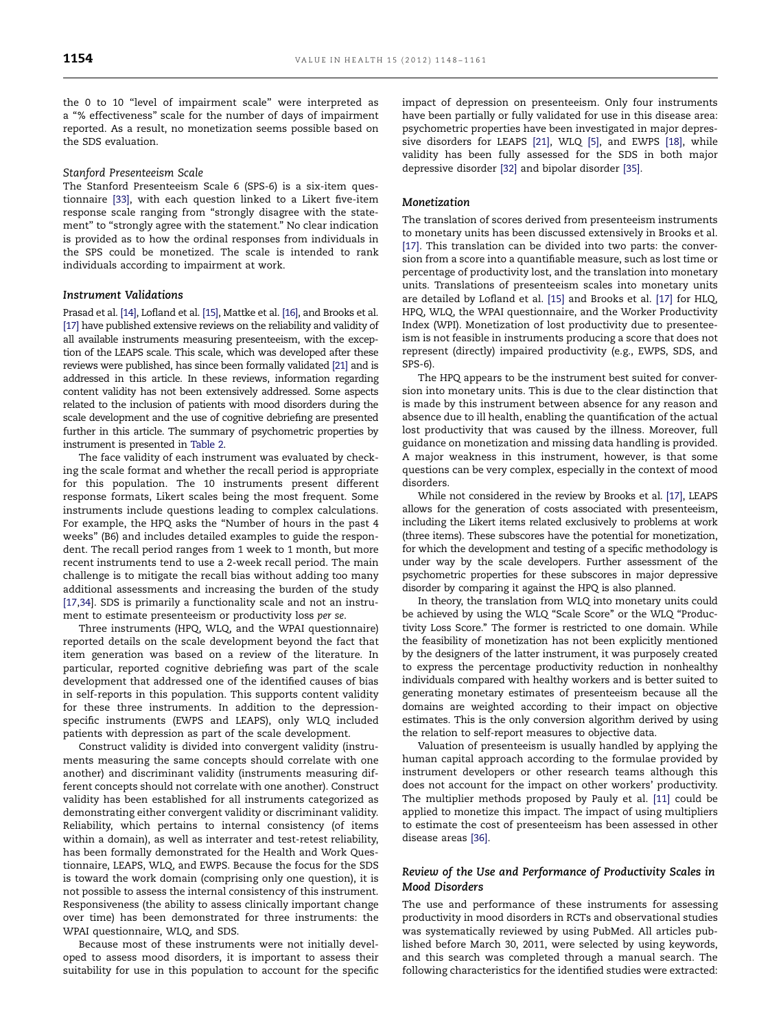the 0 to 10 ''level of impairment scale'' were interpreted as a ''% effectiveness'' scale for the number of days of impairment reported. As a result, no monetization seems possible based on the SDS evaluation.

#### Stanford Presenteeism Scale

The Stanford Presenteeism Scale 6 (SPS-6) is a six-item questionnaire [\[33\],](#page-13-0) with each question linked to a Likert five-item response scale ranging from ''strongly disagree with the statement'' to ''strongly agree with the statement.'' No clear indication is provided as to how the ordinal responses from individuals in the SPS could be monetized. The scale is intended to rank individuals according to impairment at work.

#### Instrument Validations

Prasad et al. [\[14\],](#page-13-0) Lofland et al. [\[15\]](#page-13-0), Mattke et al. [\[16\],](#page-13-0) and Brooks et al. [\[17\]](#page-13-0) have published extensive reviews on the reliability and validity of all available instruments measuring presenteeism, with the exception of the LEAPS scale. This scale, which was developed after these reviews were published, has since been formally validated [\[21\]](#page-13-0) and is addressed in this article. In these reviews, information regarding content validity has not been extensively addressed. Some aspects related to the inclusion of patients with mood disorders during the scale development and the use of cognitive debriefing are presented further in this article. The summary of psychometric properties by instrument is presented in [Table 2.](#page-3-0)

The face validity of each instrument was evaluated by checking the scale format and whether the recall period is appropriate for this population. The 10 instruments present different response formats, Likert scales being the most frequent. Some instruments include questions leading to complex calculations. For example, the HPQ asks the ''Number of hours in the past 4 weeks'' (B6) and includes detailed examples to guide the respondent. The recall period ranges from 1 week to 1 month, but more recent instruments tend to use a 2-week recall period. The main challenge is to mitigate the recall bias without adding too many additional assessments and increasing the burden of the study [\[17,34](#page-13-0)]. SDS is primarily a functionality scale and not an instrument to estimate presenteeism or productivity loss per se.

Three instruments (HPQ, WLQ, and the WPAI questionnaire) reported details on the scale development beyond the fact that item generation was based on a review of the literature. In particular, reported cognitive debriefing was part of the scale development that addressed one of the identified causes of bias in self-reports in this population. This supports content validity for these three instruments. In addition to the depressionspecific instruments (EWPS and LEAPS), only WLQ included patients with depression as part of the scale development.

Construct validity is divided into convergent validity (instruments measuring the same concepts should correlate with one another) and discriminant validity (instruments measuring different concepts should not correlate with one another). Construct validity has been established for all instruments categorized as demonstrating either convergent validity or discriminant validity. Reliability, which pertains to internal consistency (of items within a domain), as well as interrater and test-retest reliability, has been formally demonstrated for the Health and Work Questionnaire, LEAPS, WLQ, and EWPS. Because the focus for the SDS is toward the work domain (comprising only one question), it is not possible to assess the internal consistency of this instrument. Responsiveness (the ability to assess clinically important change over time) has been demonstrated for three instruments: the WPAI questionnaire, WLQ, and SDS.

Because most of these instruments were not initially developed to assess mood disorders, it is important to assess their suitability for use in this population to account for the specific

impact of depression on presenteeism. Only four instruments have been partially or fully validated for use in this disease area: psychometric properties have been investigated in major depressive disorders for LEAPS [\[21\]](#page-13-0), WLQ [\[5\],](#page-13-0) and EWPS [\[18\]](#page-13-0), while validity has been fully assessed for the SDS in both major depressive disorder [\[32\]](#page-13-0) and bipolar disorder [\[35\].](#page-13-0)

#### Monetization

The translation of scores derived from presenteeism instruments to monetary units has been discussed extensively in Brooks et al. [\[17\].](#page-13-0) This translation can be divided into two parts: the conversion from a score into a quantifiable measure, such as lost time or percentage of productivity lost, and the translation into monetary units. Translations of presenteeism scales into monetary units are detailed by Lofland et al. [\[15\]](#page-13-0) and Brooks et al. [\[17\]](#page-13-0) for HLQ, HPQ, WLQ, the WPAI questionnaire, and the Worker Productivity Index (WPI). Monetization of lost productivity due to presenteeism is not feasible in instruments producing a score that does not represent (directly) impaired productivity (e.g., EWPS, SDS, and SPS-6).

The HPQ appears to be the instrument best suited for conversion into monetary units. This is due to the clear distinction that is made by this instrument between absence for any reason and absence due to ill health, enabling the quantification of the actual lost productivity that was caused by the illness. Moreover, full guidance on monetization and missing data handling is provided. A major weakness in this instrument, however, is that some questions can be very complex, especially in the context of mood disorders.

While not considered in the review by Brooks et al. [\[17\]](#page-13-0), LEAPS allows for the generation of costs associated with presenteeism, including the Likert items related exclusively to problems at work (three items). These subscores have the potential for monetization, for which the development and testing of a specific methodology is under way by the scale developers. Further assessment of the psychometric properties for these subscores in major depressive disorder by comparing it against the HPQ is also planned.

In theory, the translation from WLQ into monetary units could be achieved by using the WLQ ''Scale Score'' or the WLQ ''Productivity Loss Score.'' The former is restricted to one domain. While the feasibility of monetization has not been explicitly mentioned by the designers of the latter instrument, it was purposely created to express the percentage productivity reduction in nonhealthy individuals compared with healthy workers and is better suited to generating monetary estimates of presenteeism because all the domains are weighted according to their impact on objective estimates. This is the only conversion algorithm derived by using the relation to self-report measures to objective data.

Valuation of presenteeism is usually handled by applying the human capital approach according to the formulae provided by instrument developers or other research teams although this does not account for the impact on other workers' productivity. The multiplier methods proposed by Pauly et al. [\[11\]](#page-13-0) could be applied to monetize this impact. The impact of using multipliers to estimate the cost of presenteeism has been assessed in other disease areas [\[36\].](#page-13-0)

# Review of the Use and Performance of Productivity Scales in Mood Disorders

The use and performance of these instruments for assessing productivity in mood disorders in RCTs and observational studies was systematically reviewed by using PubMed. All articles published before March 30, 2011, were selected by using keywords, and this search was completed through a manual search. The following characteristics for the identified studies were extracted: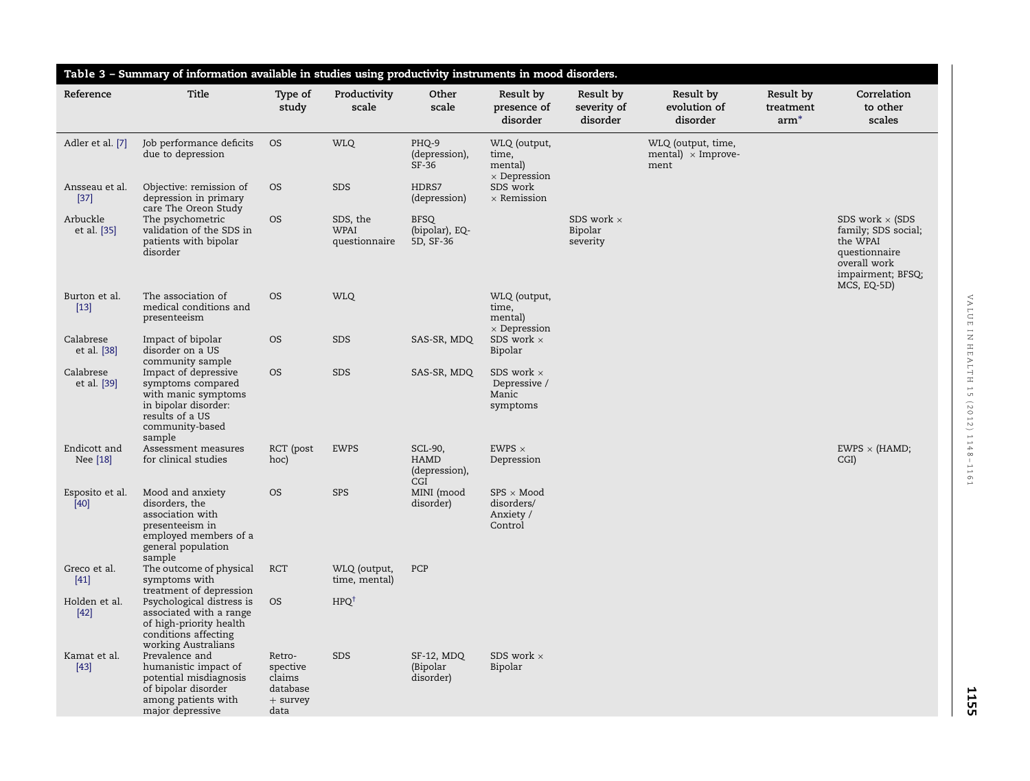<span id="page-7-0"></span>

| Table 3 - Summary of information available in studies using productivity instruments in mood disorders. |                                                                                                                                          |                                                                |                                          |                                            |                                                         |                                          |                                                         |                                  |                                                                                                                                |  |
|---------------------------------------------------------------------------------------------------------|------------------------------------------------------------------------------------------------------------------------------------------|----------------------------------------------------------------|------------------------------------------|--------------------------------------------|---------------------------------------------------------|------------------------------------------|---------------------------------------------------------|----------------------------------|--------------------------------------------------------------------------------------------------------------------------------|--|
| Reference                                                                                               | Title                                                                                                                                    | Type of<br>study                                               | Productivity<br>scale                    | Other<br>scale                             | Result by<br>presence of<br>disorder                    | Result by<br>severity of<br>disorder     | Result by<br>evolution of<br>disorder                   | Result by<br>treatment<br>$arm*$ | Correlation<br>to other<br>scales                                                                                              |  |
| Adler et al. [7]                                                                                        | Job performance deficits<br>due to depression                                                                                            | <b>OS</b>                                                      | <b>WLQ</b>                               | PHQ-9<br>(depression),<br>SF-36            | WLQ (output,<br>time,<br>mental)<br>$\times$ Depression |                                          | WLQ (output, time,<br>mental) $\times$ Improve-<br>ment |                                  |                                                                                                                                |  |
| Ansseau et al.<br>$[37]$                                                                                | Objective: remission of<br>depression in primary<br>care The Oreon Study                                                                 | <b>OS</b>                                                      | SDS                                      | HDRS7<br>(depression)                      | SDS work<br>$\times$ Remission                          |                                          |                                                         |                                  |                                                                                                                                |  |
| Arbuckle<br>et al. [35]                                                                                 | The psychometric<br>validation of the SDS in<br>patients with bipolar<br>disorder                                                        | <b>OS</b>                                                      | SDS, the<br><b>WPAI</b><br>questionnaire | <b>BFSQ</b><br>(bipolar), EQ-<br>5D, SF-36 |                                                         | SDS work $\times$<br>Bipolar<br>severity |                                                         |                                  | SDS work $\times$ (SDS<br>family; SDS social;<br>the WPAI<br>questionnaire<br>overall work<br>impairment; BFSQ;<br>MCS, EQ-5D) |  |
| Burton et al.<br>$[13]$                                                                                 | The association of<br>medical conditions and<br>presenteeism                                                                             | <b>OS</b>                                                      | <b>WLQ</b>                               |                                            | WLQ (output,<br>time,<br>mental)<br>$\times$ Depression |                                          |                                                         |                                  |                                                                                                                                |  |
| Calabrese<br>et al. [38]                                                                                | Impact of bipolar<br>disorder on a US<br>community sample                                                                                | <b>OS</b>                                                      | <b>SDS</b>                               | SAS-SR, MDQ                                | SDS work $\times$<br>Bipolar                            |                                          |                                                         |                                  |                                                                                                                                |  |
| Calabrese<br>et al. [39]                                                                                | Impact of depressive<br>symptoms compared<br>with manic symptoms<br>in bipolar disorder:<br>results of a US<br>community-based<br>sample | <b>OS</b>                                                      | SDS                                      | SAS-SR, MDQ                                | SDS work $\times$<br>Depressive /<br>Manic<br>symptoms  |                                          |                                                         |                                  |                                                                                                                                |  |
| Endicott and<br>Nee [18]                                                                                | Assessment measures<br>for clinical studies                                                                                              | RCT (post<br>hoc)                                              | <b>EWPS</b>                              | SCL-90,<br>HAMD<br>(depression),<br>CGI    | EWPS $\times$<br>Depression                             |                                          |                                                         |                                  | $EWPS \times (HAMD;$<br>CGI)                                                                                                   |  |
| Esposito et al.<br>$[40]$                                                                               | Mood and anxiety<br>disorders, the<br>association with<br>presenteeism in<br>employed members of a<br>general population<br>sample       | <b>OS</b>                                                      | <b>SPS</b>                               | MINI (mood<br>disorder)                    | $SPS \times$ Mood<br>disorders/<br>Anxiety /<br>Control |                                          |                                                         |                                  |                                                                                                                                |  |
| Greco et al.<br>$[41]$                                                                                  | The outcome of physical<br>symptoms with<br>treatment of depression                                                                      | RCT                                                            | WLQ (output,<br>time, mental)            | PCP                                        |                                                         |                                          |                                                         |                                  |                                                                                                                                |  |
| Holden et al.<br>$[42]$                                                                                 | Psychological distress is<br>associated with a range<br>of high-priority health<br>conditions affecting<br>working Australians           | <b>OS</b>                                                      | $HPQ^{\dagger}$                          |                                            |                                                         |                                          |                                                         |                                  |                                                                                                                                |  |
| Kamat et al.<br>$[43]$                                                                                  | Prevalence and<br>humanistic impact of<br>potential misdiagnosis<br>of bipolar disorder<br>among patients with<br>major depressive       | Retro-<br>spective<br>claims<br>database<br>$+$ survey<br>data | <b>SDS</b>                               | SF-12, MDQ<br>(Bipolar<br>disorder)        | SDS work $\times$<br>Bipolar                            |                                          |                                                         |                                  |                                                                                                                                |  |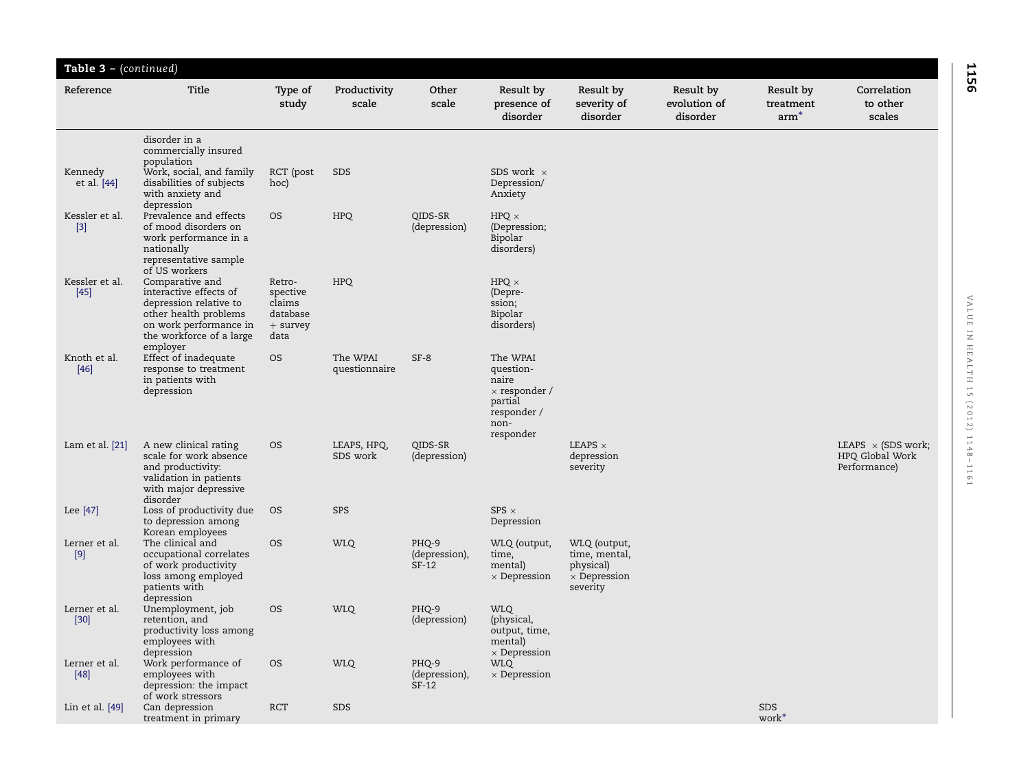| Table 3 - (continued)   |                                                                                                                                                                |                                                                |                           |                                   |                                                                                                       |                                                                               |                                       |                                  |                                                              |
|-------------------------|----------------------------------------------------------------------------------------------------------------------------------------------------------------|----------------------------------------------------------------|---------------------------|-----------------------------------|-------------------------------------------------------------------------------------------------------|-------------------------------------------------------------------------------|---------------------------------------|----------------------------------|--------------------------------------------------------------|
| Reference               | Title                                                                                                                                                          | Type of<br>study                                               | Productivity<br>scale     | Other<br>scale                    | Result by<br>presence of<br>disorder                                                                  | Result by<br>severity of<br>disorder                                          | Result by<br>evolution of<br>disorder | Result by<br>treatment<br>$arm*$ | Correlation<br>to other<br>scales                            |
|                         | disorder in a<br>commercially insured<br>population                                                                                                            |                                                                |                           |                                   |                                                                                                       |                                                                               |                                       |                                  |                                                              |
| Kennedy<br>et al. [44]  | Work, social, and family<br>disabilities of subjects<br>with anxiety and<br>depression                                                                         | RCT (post<br>hoc)                                              | <b>SDS</b>                |                                   | SDS work $\times$<br>Depression/<br>Anxiety                                                           |                                                                               |                                       |                                  |                                                              |
| Kessler et al.<br>$[3]$ | Prevalence and effects<br>of mood disorders on<br>work performance in a<br>nationally<br>representative sample<br>of US workers                                | <b>OS</b>                                                      | <b>HPQ</b>                | QIDS-SR<br>(depression)           | $HPQ \times$<br>(Depression;<br>Bipolar<br>disorders)                                                 |                                                                               |                                       |                                  |                                                              |
| Kessler et al.<br>[45]  | Comparative and<br>interactive effects of<br>depression relative to<br>other health problems<br>on work performance in<br>the workforce of a large<br>employer | Retro-<br>spective<br>claims<br>database<br>$+$ survey<br>data | <b>HPQ</b>                |                                   | $HPQ \times$<br>(Depre-<br>ssion;<br>Bipolar<br>disorders)                                            |                                                                               |                                       |                                  |                                                              |
| Knoth et al.<br>$[46]$  | Effect of inadequate<br>response to treatment<br>in patients with<br>depression                                                                                | <b>OS</b>                                                      | The WPAI<br>questionnaire | $SF-8$                            | The WPAI<br>question-<br>naire<br>$\times$ responder /<br>partial<br>responder /<br>non-<br>responder |                                                                               |                                       |                                  |                                                              |
| Lam et al. [21]         | A new clinical rating<br>scale for work absence<br>and productivity:<br>validation in patients<br>with major depressive<br>disorder                            | OS.                                                            | LEAPS, HPQ,<br>SDS work   | OIDS-SR<br>(depression)           |                                                                                                       | LEAPS $\times$<br>depression<br>severity                                      |                                       |                                  | LEAPS $\times$ (SDS work;<br>HPQ Global Work<br>Performance) |
| Lee [47]                | Loss of productivity due<br>to depression among<br>Korean employees                                                                                            | <b>OS</b>                                                      | SPS                       |                                   | SPS $\times$<br>Depression                                                                            |                                                                               |                                       |                                  |                                                              |
| Lerner et al.<br>[9]    | The clinical and<br>occupational correlates<br>of work productivity<br>loss among employed<br>patients with<br>depression                                      | <b>OS</b>                                                      | <b>WLQ</b>                | PHQ-9<br>(depression),<br>$SF-12$ | WLQ (output,<br>time,<br>mental)<br>$\times$ Depression                                               | WLQ (output,<br>time, mental,<br>physical)<br>$\times$ Depression<br>severity |                                       |                                  |                                                              |
| Lerner et al.<br>$[30]$ | Unemployment, job<br>retention, and<br>productivity loss among<br>employees with<br>depression                                                                 | <b>OS</b>                                                      | <b>WLQ</b>                | PHQ-9<br>(depression)             | <b>WLQ</b><br>(physical,<br>output, time,<br>mental)<br>$\times$ Depression                           |                                                                               |                                       |                                  |                                                              |
| Lerner et al.<br>$[48]$ | Work performance of<br>employees with<br>depression: the impact<br>of work stressors                                                                           | <b>OS</b>                                                      | <b>WLQ</b>                | PHQ-9<br>(depression),<br>SF-12   | <b>WLQ</b><br>$\times$ Depression                                                                     |                                                                               |                                       |                                  |                                                              |
| Lin et al. [49]         | Can depression<br>treatment in primary                                                                                                                         | <b>RCT</b>                                                     | <b>SDS</b>                |                                   |                                                                                                       |                                                                               |                                       | SDS<br>work*                     |                                                              |

1156 VALUE IN HEALTH 15 (2012) 1148-1161 VALUE IN HEALTH 15 (2012) 1148-1161

**1156**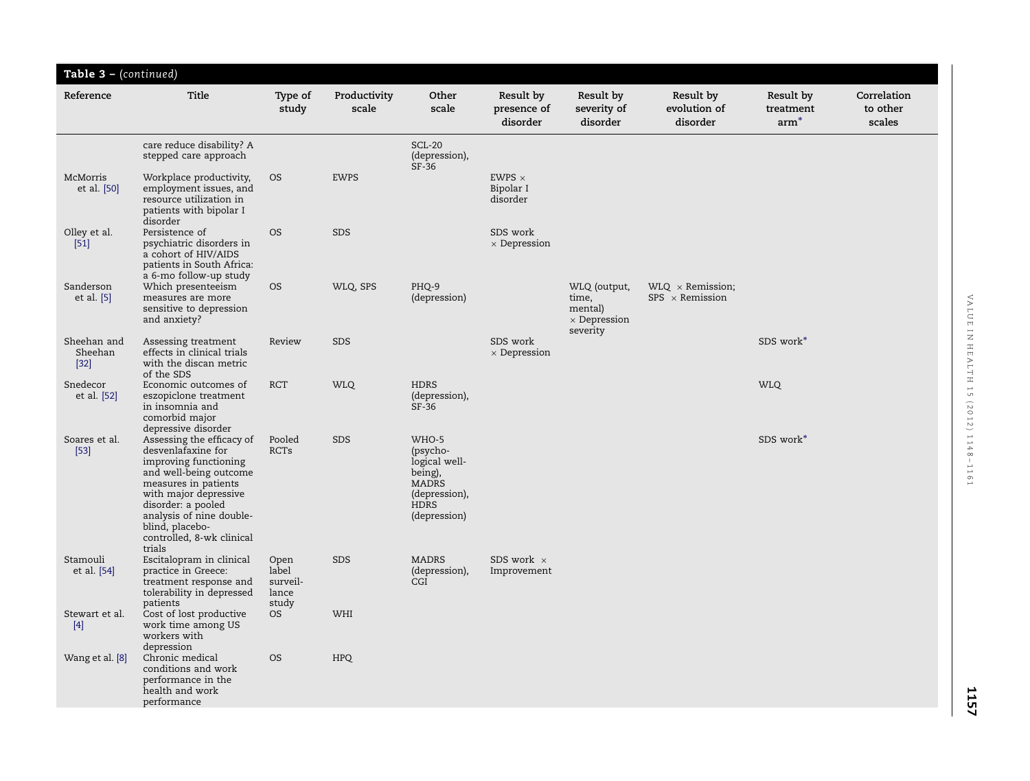| Table 3 - (continued)            |                                                                                                                                                                                                                                                                 |                                             |                       |                                                                                                        |                                        |                                                                     |                                                   |                                  |                                   |  |
|----------------------------------|-----------------------------------------------------------------------------------------------------------------------------------------------------------------------------------------------------------------------------------------------------------------|---------------------------------------------|-----------------------|--------------------------------------------------------------------------------------------------------|----------------------------------------|---------------------------------------------------------------------|---------------------------------------------------|----------------------------------|-----------------------------------|--|
| Reference                        | Title                                                                                                                                                                                                                                                           | Type of<br>study                            | Productivity<br>scale | Other<br>scale                                                                                         | Result by<br>presence of<br>disorder   | Result by<br>severity of<br>disorder                                | Result by<br>evolution of<br>disorder             | Result by<br>treatment<br>$arm*$ | Correlation<br>to other<br>scales |  |
|                                  | care reduce disability? A<br>stepped care approach                                                                                                                                                                                                              |                                             |                       | <b>SCL-20</b><br>(depression),<br>SF-36                                                                |                                        |                                                                     |                                                   |                                  |                                   |  |
| McMorris<br>et al. [50]          | Workplace productivity,<br>employment issues, and<br>resource utilization in<br>patients with bipolar I<br>disorder                                                                                                                                             | <b>OS</b>                                   | <b>EWPS</b>           |                                                                                                        | EWPS $\times$<br>Bipolar I<br>disorder |                                                                     |                                                   |                                  |                                   |  |
| Olley et al.<br>$[51]$           | Persistence of<br>psychiatric disorders in<br>a cohort of HIV/AIDS<br>patients in South Africa:<br>a 6-mo follow-up study                                                                                                                                       | <b>OS</b>                                   | SDS                   |                                                                                                        | SDS work<br>$\times$ Depression        |                                                                     |                                                   |                                  |                                   |  |
| Sanderson<br>et al. $[5]$        | Which presenteeism<br>measures are more<br>sensitive to depression<br>and anxiety?                                                                                                                                                                              | <b>OS</b>                                   | WLQ, SPS              | PHQ-9<br>(depression)                                                                                  |                                        | WLQ (output,<br>time,<br>mental)<br>$\times$ Depression<br>severity | $WLQ \times$ Remission;<br>$SPS \times$ Remission |                                  |                                   |  |
| Sheehan and<br>Sheehan<br>$[32]$ | Assessing treatment<br>effects in clinical trials<br>with the discan metric<br>of the SDS                                                                                                                                                                       | Review                                      | SDS                   |                                                                                                        | SDS work<br>$\times$ Depression        |                                                                     |                                                   | SDS work*                        |                                   |  |
| Snedecor<br>et al. [52]          | Economic outcomes of<br>eszopiclone treatment<br>in insomnia and<br>comorbid major<br>depressive disorder                                                                                                                                                       | <b>RCT</b>                                  | <b>WLQ</b>            | <b>HDRS</b><br>(depression),<br>$SF-36$                                                                |                                        |                                                                     |                                                   | <b>WLQ</b>                       |                                   |  |
| Soares et al.<br>$[53]$          | Assessing the efficacy of<br>desvenlafaxine for<br>improving functioning<br>and well-being outcome<br>measures in patients<br>with major depressive<br>disorder: a pooled<br>analysis of nine double-<br>blind, placebo-<br>controlled, 8-wk clinical<br>trials | Pooled<br><b>RCTs</b>                       | <b>SDS</b>            | WHO-5<br>(psycho-<br>logical well-<br>being),<br><b>MADRS</b><br>(depression),<br>HDRS<br>(depression) |                                        |                                                                     |                                                   | SDS work*                        |                                   |  |
| Stamouli<br>et al. [54]          | Escitalopram in clinical<br>practice in Greece:<br>treatment response and<br>tolerability in depressed<br>patients                                                                                                                                              | Open<br>label<br>surveil-<br>lance<br>study | SDS                   | <b>MADRS</b><br>(depression),<br>CGI                                                                   | SDS work $\times$<br>Improvement       |                                                                     |                                                   |                                  |                                   |  |
| Stewart et al.<br>$[4]$          | Cost of lost productive<br>work time among US<br>workers with<br>depression                                                                                                                                                                                     | <b>OS</b>                                   | WHI                   |                                                                                                        |                                        |                                                                     |                                                   |                                  |                                   |  |
| Wang et al. [8]                  | Chronic medical<br>conditions and work<br>performance in the<br>health and work<br>performance                                                                                                                                                                  | <b>OS</b>                                   | <b>HPQ</b>            |                                                                                                        |                                        |                                                                     |                                                   |                                  |                                   |  |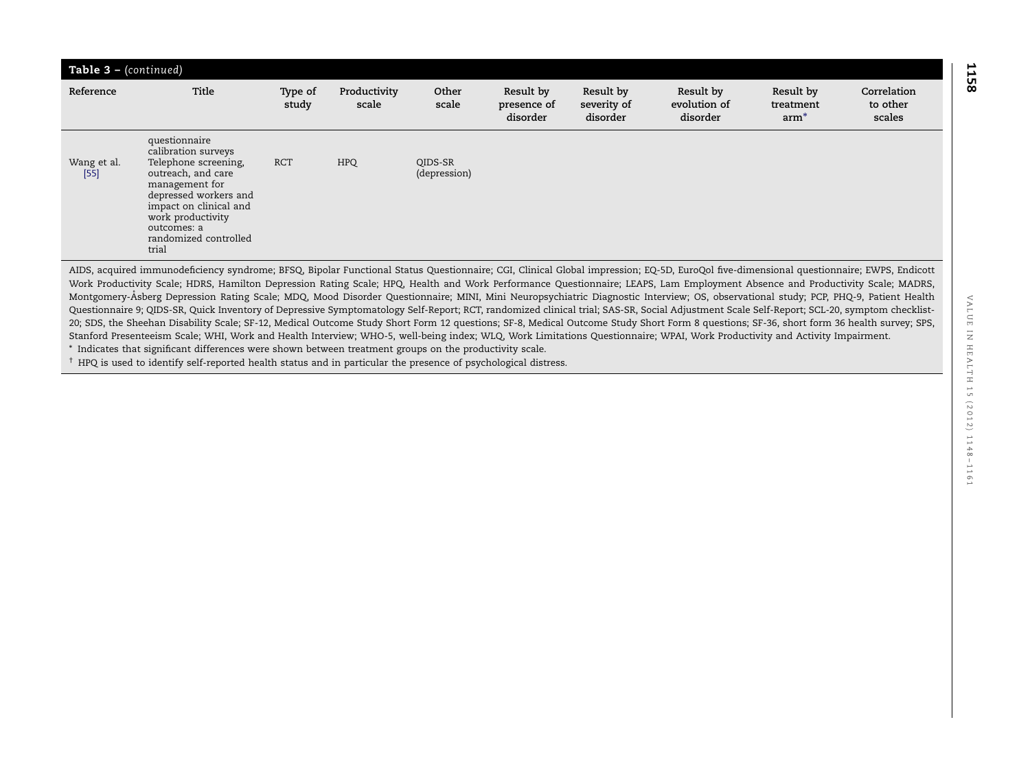| Table 3 - (continued) |                                                                                                                                                                                                                               |                  |                       |                         |                                      |                                      |                                       |                                            |                                   |  |
|-----------------------|-------------------------------------------------------------------------------------------------------------------------------------------------------------------------------------------------------------------------------|------------------|-----------------------|-------------------------|--------------------------------------|--------------------------------------|---------------------------------------|--------------------------------------------|-----------------------------------|--|
| Reference             | Title                                                                                                                                                                                                                         | Type of<br>study | Productivity<br>scale | Other<br>scale          | Result by<br>presence of<br>disorder | Result by<br>severity of<br>disorder | Result by<br>evolution of<br>disorder | Result by<br>treatment<br>arm <sup>*</sup> | Correlation<br>to other<br>scales |  |
| Wang et al.<br>$[55]$ | questionnaire<br>calibration surveys<br>Telephone screening,<br>outreach, and care<br>management for<br>depressed workers and<br>impact on clinical and<br>work productivity<br>outcomes: a<br>randomized controlled<br>trial | <b>RCT</b>       | <b>HPQ</b>            | QIDS-SR<br>(depression) |                                      |                                      |                                       |                                            |                                   |  |

AIDS, acquired immunodeficiency syndrome; BFSQ, Bipolar Functional Status Questionnaire; CGI, Clinical Global impression; EQ-5D, EuroQol five-dimensional questionnaire; EWPS, Endicott Work Productivity Scale; HDRS, Hamilton Depression Rating Scale; HPQ, Health and Work Performance Questionnaire; LEAPS, Lam Employment Absence and Productivity Scale; MADRS, Montgomery-Åsberg Depression Rating Scale; MDQ, Mood Disorder Questionnaire; MINI, Mini Neuropsychiatric Diagnostic Interview; OS, observational study; PCP, PHQ-9, Patient Health Questionnaire 9; QIDS-SR, Quick Inventory of Depressive Symptomatology Self-Report; RCT, randomized clinical trial; SAS-SR, Social Adjustment Scale Self-Report; SCL-20, symptom checklist-20; SDS, the Sheehan Disability Scale; SF-12, Medical Outcome Study Short Form <sup>12</sup> questions; SF-8, Medical Outcome Study Short Form <sup>8</sup> questions; SF-36, short form <sup>36</sup> health survey; SPS, Stanford Presenteeism Scale; WHI, Work and Health Interview; WHO-5, well-being index; WLQ, Work Limitations Questionnaire; WPAI, Work Productivity and Activity Impairment.

\* Indicates that significant differences were shown between treatment groups on the productivity scale.

† HPQ is used to identify self-reported health status and in particular the presence of psychological distress.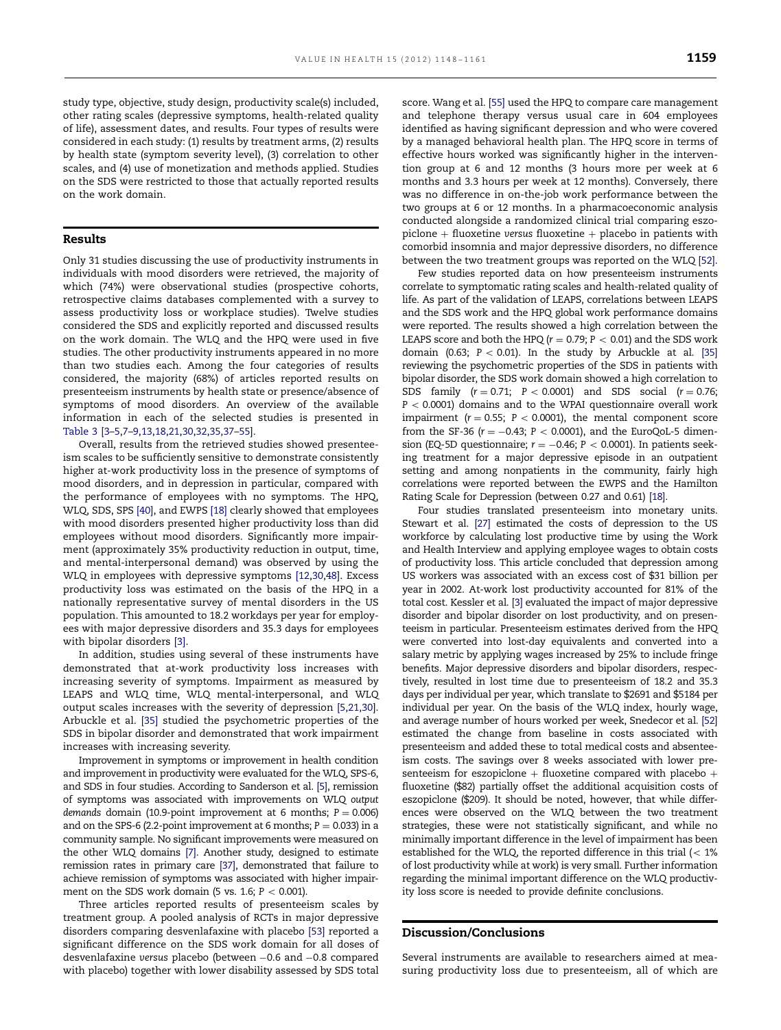study type, objective, study design, productivity scale(s) included, other rating scales (depressive symptoms, health-related quality of life), assessment dates, and results. Four types of results were considered in each study: (1) results by treatment arms, (2) results by health state (symptom severity level), (3) correlation to other scales, and (4) use of monetization and methods applied. Studies on the SDS were restricted to those that actually reported results on the work domain.

# Results

Only 31 studies discussing the use of productivity instruments in individuals with mood disorders were retrieved, the majority of which (74%) were observational studies (prospective cohorts, retrospective claims databases complemented with a survey to assess productivity loss or workplace studies). Twelve studies considered the SDS and explicitly reported and discussed results on the work domain. The WLQ and the HPQ were used in five studies. The other productivity instruments appeared in no more than two studies each. Among the four categories of results considered, the majority (68%) of articles reported results on presenteeism instruments by health state or presence/absence of symptoms of mood disorders. An overview of the available information in each of the selected studies is presented in [Table 3](#page-7-0) [\[3](#page-12-0)[–5,7–9](#page-13-0),[13,18,21,30,32](#page-13-0),[35,37](#page-13-0)–[55](#page-13-0)].

Overall, results from the retrieved studies showed presenteeism scales to be sufficiently sensitive to demonstrate consistently higher at-work productivity loss in the presence of symptoms of mood disorders, and in depression in particular, compared with the performance of employees with no symptoms. The HPQ, WLQ, SDS, SPS [\[40\],](#page-13-0) and EWPS [\[18\]](#page-13-0) clearly showed that employees with mood disorders presented higher productivity loss than did employees without mood disorders. Significantly more impairment (approximately 35% productivity reduction in output, time, and mental-interpersonal demand) was observed by using the WLQ in employees with depressive symptoms [\[12](#page-13-0),[30,48](#page-13-0)]. Excess productivity loss was estimated on the basis of the HPQ in a nationally representative survey of mental disorders in the US population. This amounted to 18.2 workdays per year for employees with major depressive disorders and 35.3 days for employees with bipolar disorders [\[3\]](#page-12-0).

In addition, studies using several of these instruments have demonstrated that at-work productivity loss increases with increasing severity of symptoms. Impairment as measured by LEAPS and WLQ time, WLQ mental-interpersonal, and WLQ output scales increases with the severity of depression [\[5,21,30\]](#page-13-0). Arbuckle et al. [\[35\]](#page-13-0) studied the psychometric properties of the SDS in bipolar disorder and demonstrated that work impairment increases with increasing severity.

Improvement in symptoms or improvement in health condition and improvement in productivity were evaluated for the WLQ, SPS-6, and SDS in four studies. According to Sanderson et al. [\[5\]](#page-13-0), remission of symptoms was associated with improvements on WLQ output demands domain (10.9-point improvement at 6 months;  $P = 0.006$ ) and on the SPS-6 (2.2-point improvement at 6 months;  $P = 0.033$ ) in a community sample. No significant improvements were measured on the other WLQ domains [\[7\]](#page-13-0). Another study, designed to estimate remission rates in primary care [\[37\]](#page-13-0), demonstrated that failure to achieve remission of symptoms was associated with higher impairment on the SDS work domain (5 vs. 1.6;  $P < 0.001$ ).

Three articles reported results of presenteeism scales by treatment group. A pooled analysis of RCTs in major depressive disorders comparing desvenlafaxine with placebo [\[53\]](#page-13-0) reported a significant difference on the SDS work domain for all doses of desvenlafaxine versus placebo (between -0.6 and -0.8 compared with placebo) together with lower disability assessed by SDS total

score. Wang et al. [\[55\]](#page-13-0) used the HPQ to compare care management and telephone therapy versus usual care in 604 employees identified as having significant depression and who were covered by a managed behavioral health plan. The HPQ score in terms of effective hours worked was significantly higher in the intervention group at 6 and 12 months (3 hours more per week at 6 months and 3.3 hours per week at 12 months). Conversely, there was no difference in on-the-job work performance between the two groups at 6 or 12 months. In a pharmacoeconomic analysis conducted alongside a randomized clinical trial comparing eszopiclone  $+$  fluoxetine versus fluoxetine  $+$  placebo in patients with comorbid insomnia and major depressive disorders, no difference between the two treatment groups was reported on the WLQ [\[52\].](#page-13-0)

Few studies reported data on how presenteeism instruments correlate to symptomatic rating scales and health-related quality of life. As part of the validation of LEAPS, correlations between LEAPS and the SDS work and the HPQ global work performance domains were reported. The results showed a high correlation between the LEAPS score and both the HPQ ( $r = 0.79$ ;  $P < 0.01$ ) and the SDS work domain (0.63;  $P < 0.01$ ). In the study by Arbuckle at al. [\[35\]](#page-13-0) reviewing the psychometric properties of the SDS in patients with bipolar disorder, the SDS work domain showed a high correlation to SDS family  $(r = 0.71; P < 0.0001)$  and SDS social  $(r = 0.76;$  $P < 0.0001$ ) domains and to the WPAI questionnaire overall work impairment ( $r = 0.55$ ;  $P < 0.0001$ ), the mental component score from the SF-36 ( $r = -0.43; P < 0.0001$ ), and the EuroQoL-5 dimension (EQ-5D questionnaire;  $r = -0.46; P < 0.0001$ ). In patients seeking treatment for a major depressive episode in an outpatient setting and among nonpatients in the community, fairly high correlations were reported between the EWPS and the Hamilton Rating Scale for Depression (between 0.27 and 0.61) [\[18\]](#page-13-0).

Four studies translated presenteeism into monetary units. Stewart et al. [\[27\]](#page-13-0) estimated the costs of depression to the US workforce by calculating lost productive time by using the Work and Health Interview and applying employee wages to obtain costs of productivity loss. This article concluded that depression among US workers was associated with an excess cost of \$31 billion per year in 2002. At-work lost productivity accounted for 81% of the total cost. Kessler et al. [\[3\]](#page-12-0) evaluated the impact of major depressive disorder and bipolar disorder on lost productivity, and on presenteeism in particular. Presenteeism estimates derived from the HPQ were converted into lost-day equivalents and converted into a salary metric by applying wages increased by 25% to include fringe benefits. Major depressive disorders and bipolar disorders, respectively, resulted in lost time due to presenteeism of 18.2 and 35.3 days per individual per year, which translate to \$2691 and \$5184 per individual per year. On the basis of the WLQ index, hourly wage, and average number of hours worked per week, Snedecor et al. [\[52\]](#page-13-0) estimated the change from baseline in costs associated with presenteeism and added these to total medical costs and absenteeism costs. The savings over 8 weeks associated with lower presenteeism for eszopiclone  $+$  fluoxetine compared with placebo  $+$ fluoxetine (\$82) partially offset the additional acquisition costs of eszopiclone (\$209). It should be noted, however, that while differences were observed on the WLQ between the two treatment strategies, these were not statistically significant, and while no minimally important difference in the level of impairment has been established for the WLQ, the reported difference in this trial  $\langle$  < 1% of lost productivity while at work) is very small. Further information regarding the minimal important difference on the WLQ productivity loss score is needed to provide definite conclusions.

# Discussion/Conclusions

Several instruments are available to researchers aimed at measuring productivity loss due to presenteeism, all of which are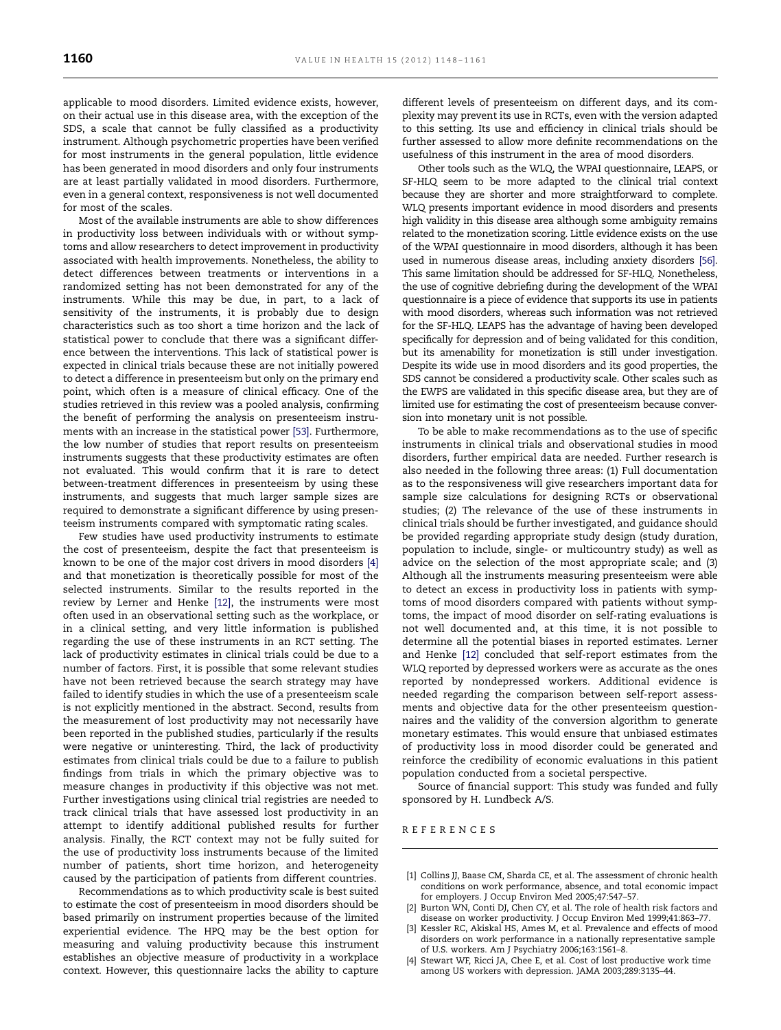<span id="page-12-0"></span>applicable to mood disorders. Limited evidence exists, however, on their actual use in this disease area, with the exception of the SDS, a scale that cannot be fully classified as a productivity instrument. Although psychometric properties have been verified for most instruments in the general population, little evidence has been generated in mood disorders and only four instruments are at least partially validated in mood disorders. Furthermore, even in a general context, responsiveness is not well documented for most of the scales.

Most of the available instruments are able to show differences in productivity loss between individuals with or without symptoms and allow researchers to detect improvement in productivity associated with health improvements. Nonetheless, the ability to detect differences between treatments or interventions in a randomized setting has not been demonstrated for any of the instruments. While this may be due, in part, to a lack of sensitivity of the instruments, it is probably due to design characteristics such as too short a time horizon and the lack of statistical power to conclude that there was a significant difference between the interventions. This lack of statistical power is expected in clinical trials because these are not initially powered to detect a difference in presenteeism but only on the primary end point, which often is a measure of clinical efficacy. One of the studies retrieved in this review was a pooled analysis, confirming the benefit of performing the analysis on presenteeism instruments with an increase in the statistical power [\[53\]](#page-13-0). Furthermore, the low number of studies that report results on presenteeism instruments suggests that these productivity estimates are often not evaluated. This would confirm that it is rare to detect between-treatment differences in presenteeism by using these instruments, and suggests that much larger sample sizes are required to demonstrate a significant difference by using presenteeism instruments compared with symptomatic rating scales.

Few studies have used productivity instruments to estimate the cost of presenteeism, despite the fact that presenteeism is known to be one of the major cost drivers in mood disorders [4] and that monetization is theoretically possible for most of the selected instruments. Similar to the results reported in the review by Lerner and Henke [\[12\],](#page-13-0) the instruments were most often used in an observational setting such as the workplace, or in a clinical setting, and very little information is published regarding the use of these instruments in an RCT setting. The lack of productivity estimates in clinical trials could be due to a number of factors. First, it is possible that some relevant studies have not been retrieved because the search strategy may have failed to identify studies in which the use of a presenteeism scale is not explicitly mentioned in the abstract. Second, results from the measurement of lost productivity may not necessarily have been reported in the published studies, particularly if the results were negative or uninteresting. Third, the lack of productivity estimates from clinical trials could be due to a failure to publish findings from trials in which the primary objective was to measure changes in productivity if this objective was not met. Further investigations using clinical trial registries are needed to track clinical trials that have assessed lost productivity in an attempt to identify additional published results for further analysis. Finally, the RCT context may not be fully suited for the use of productivity loss instruments because of the limited number of patients, short time horizon, and heterogeneity caused by the participation of patients from different countries.

Recommendations as to which productivity scale is best suited to estimate the cost of presenteeism in mood disorders should be based primarily on instrument properties because of the limited experiential evidence. The HPQ may be the best option for measuring and valuing productivity because this instrument establishes an objective measure of productivity in a workplace context. However, this questionnaire lacks the ability to capture different levels of presenteeism on different days, and its complexity may prevent its use in RCTs, even with the version adapted to this setting. Its use and efficiency in clinical trials should be further assessed to allow more definite recommendations on the usefulness of this instrument in the area of mood disorders.

Other tools such as the WLQ, the WPAI questionnaire, LEAPS, or SF-HLQ seem to be more adapted to the clinical trial context because they are shorter and more straightforward to complete. WLQ presents important evidence in mood disorders and presents high validity in this disease area although some ambiguity remains related to the monetization scoring. Little evidence exists on the use of the WPAI questionnaire in mood disorders, although it has been used in numerous disease areas, including anxiety disorders [\[56\].](#page-13-0) This same limitation should be addressed for SF-HLQ. Nonetheless, the use of cognitive debriefing during the development of the WPAI questionnaire is a piece of evidence that supports its use in patients with mood disorders, whereas such information was not retrieved for the SF-HLQ. LEAPS has the advantage of having been developed specifically for depression and of being validated for this condition, but its amenability for monetization is still under investigation. Despite its wide use in mood disorders and its good properties, the SDS cannot be considered a productivity scale. Other scales such as the EWPS are validated in this specific disease area, but they are of limited use for estimating the cost of presenteeism because conversion into monetary unit is not possible.

To be able to make recommendations as to the use of specific instruments in clinical trials and observational studies in mood disorders, further empirical data are needed. Further research is also needed in the following three areas: (1) Full documentation as to the responsiveness will give researchers important data for sample size calculations for designing RCTs or observational studies; (2) The relevance of the use of these instruments in clinical trials should be further investigated, and guidance should be provided regarding appropriate study design (study duration, population to include, single- or multicountry study) as well as advice on the selection of the most appropriate scale; and (3) Although all the instruments measuring presenteeism were able to detect an excess in productivity loss in patients with symptoms of mood disorders compared with patients without symptoms, the impact of mood disorder on self-rating evaluations is not well documented and, at this time, it is not possible to determine all the potential biases in reported estimates. Lerner and Henke [\[12\]](#page-13-0) concluded that self-report estimates from the WLQ reported by depressed workers were as accurate as the ones reported by nondepressed workers. Additional evidence is needed regarding the comparison between self-report assessments and objective data for the other presenteeism questionnaires and the validity of the conversion algorithm to generate monetary estimates. This would ensure that unbiased estimates of productivity loss in mood disorder could be generated and reinforce the credibility of economic evaluations in this patient population conducted from a societal perspective.

Source of financial support: This study was funded and fully sponsored by H. Lundbeck A/S.

REFERENCES

- [1] Collins JJ, Baase CM, Sharda CE, et al. The assessment of chronic health conditions on work performance, absence, and total economic impact for employers. J Occup Environ Med 2005;47:547–57.
- [2] Burton WN, Conti DJ, Chen CY, et al. The role of health risk factors and disease on worker productivity. J Occup Environ Med 1999;41:863–77.
- [3] Kessler RC, Akiskal HS, Ames M, et al. Prevalence and effects of mood disorders on work performance in a nationally representative sample of U.S. workers. Am J Psychiatry 2006;163:1561–8.
- [4] Stewart WF, Ricci JA, Chee E, et al. Cost of lost productive work time among US workers with depression. JAMA 2003;289:3135–44.